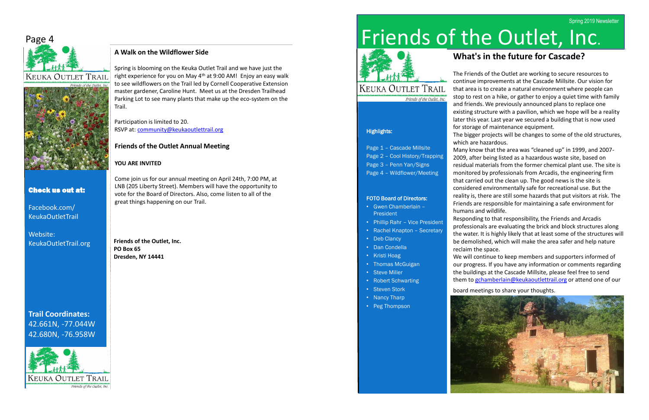# Friends of the Outlet, Inc.



## **KEUKA OUTLET TRAIL** Friends of the Outlet, Inc.

#### Highlights:

## Page 1 – Cascade Millsite

- Page 2 Cool History/Trapping
- Page 3 Penn Yan/Signs
- Page 4 Wildflower/Meeting

#### FOTO Board of Directors:

- Gwen Chamberlain President
- Phillip Rahr Vice President
- Rachel Knapton Secretary
- Deb Clancy
- Dan Condella
- Kristi Hoag
- Thomas McGuigan
- Steve Miller
- Robert Schwarting
- Steven Stork
- Nancy Tharp
- Peg Thompson



# **What's in the future for Cascade?**

The Friends of the Outlet are working to secure resources to continue improvements at the Cascade Millsite. Our vision for that area is to create a natural environment where people can stop to rest on a hike, or gather to enjoy a quiet time with family and friends. We previously announced plans to replace one existing structure with a pavilion, which we hope will be a reality later this year. Last year we secured a building that is now used for storage of maintenance equipment.

We will continue to keep members and supporters informed of our progress. If you have any information or comments regarding the buildings at the Cascade Millsite, please feel free to send them to [gchamberlain@keukaoutlettrail.org](mailto:gchamberlain@keukaoutlettrail.org) or attend one of our

The bigger projects will be changes to some of the old structures, which are hazardous.

Many know that the area was "cleaned up" in 1999, and 2007- 2009, after being listed as a hazardous waste site, based on residual materials from the former chemical plant use. The site is monitored by professionals from Arcadis, the engineering firm that carried out the clean up. The good news is the site is considered environmentally safe for recreational use. But the reality is, there are still some hazards that put visitors at risk. The Friends are responsible for maintaining a safe environment for humans and wildlife.

Responding to that responsibility, the Friends and Arcadis professionals are evaluating the brick and block structures along the water. It is highly likely that at least some of the structures will be demolished, which will make the area safer and help nature reclaim the space.

board meetings to share your thoughts.



# Page 4





### Check us out at:

Facebook.com/ KeukaOutletTrail

Website: KeukaOutletTrail.org

# **Trail Coordinates:** 42.661N, -77.044W 42.680N, -76.958W



#### **A Walk on the Wildflower Side**

Spring is blooming on the Keuka Outlet Trail and we have just the right experience for you on May 4<sup>th</sup> at 9:00 AM! Enjoy an easy walk to see wildflowers on the Trail led by Cornell Cooperative Extension master gardener, Caroline Hunt. Meet us at the Dresden Trailhead Parking Lot to see many plants that make up the eco-system on the Trail.

Participation is limited to 20. RSVP at: [community@keukaoutlettrail.org](mailto:community@keukaoutlettrail.org)

**Friends of the Outlet, Inc. PO Box 65 Dresden, NY 14441**

#### **Friends of the Outlet Annual Meeting**

#### **YOU ARE INVITED**

Come join us for our annual meeting on April 24th, 7:00 PM, at LNB (205 Liberty Street). Members will have the opportunity to vote for the Board of Directors. Also, come listen to all of the great things happening on our Trail.